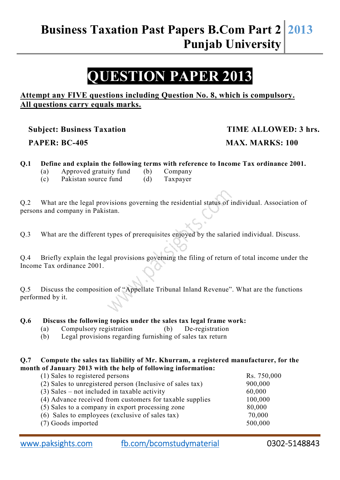## **QUESTION PAPER 2013**

#### **Attempt any FIVE questions including Question No. 8, which is compulsory. All questions carry equals marks.**

**Subject: Business Taxation TIME ALLOWED: 3 hrs.** 

# **PAPER: BC-405 MAX. MARKS: 100**

#### **Q.1 Define and explain the following terms with reference to Income Tax ordinance 2001.**

- (a) Approved gratuity fund (b) Company
- (c) Pakistan source fund (d) Taxpayer

Q.2 What are the legal provisions governing the residential status of individual. Association of persons and company in Pakistan.

Q.3 What are the different types of prerequisites enjoyed by the salaried individual. Discuss.

Q.4 Briefly explain the legal provisions governing the filing of return of total income under the Income Tax ordinance 2001.

Q.5 Discuss the composition of "Appellate Tribunal Inland Revenue". What are the functions performed by it.

#### **Q.6 Discuss the following topics under the sales tax legal frame work:**

- (a) Compulsory registration (b) De-registration
- (b) Legal provisions regarding furnishing of sales tax return

#### **Q.7 Compute the sales tax liability of Mr. Khurram, a registered manufacturer, for the month of January 2013 with the help of following information:**

| (1) Sales to registered persons                           | Rs. 750,000 |
|-----------------------------------------------------------|-------------|
| (2) Sales to unregistered person (Inclusive of sales tax) | 900,000     |
| $(3)$ Sales – not included in taxable activity            | 60,000      |
| (4) Advance received from customers for taxable supplies  | 100,000     |
| (5) Sales to a company in export processing zone          | 80,000      |
| (6) Sales to employees (exclusive of sales tax)           | 70,000      |
| (7) Goods imported                                        | 500,000     |